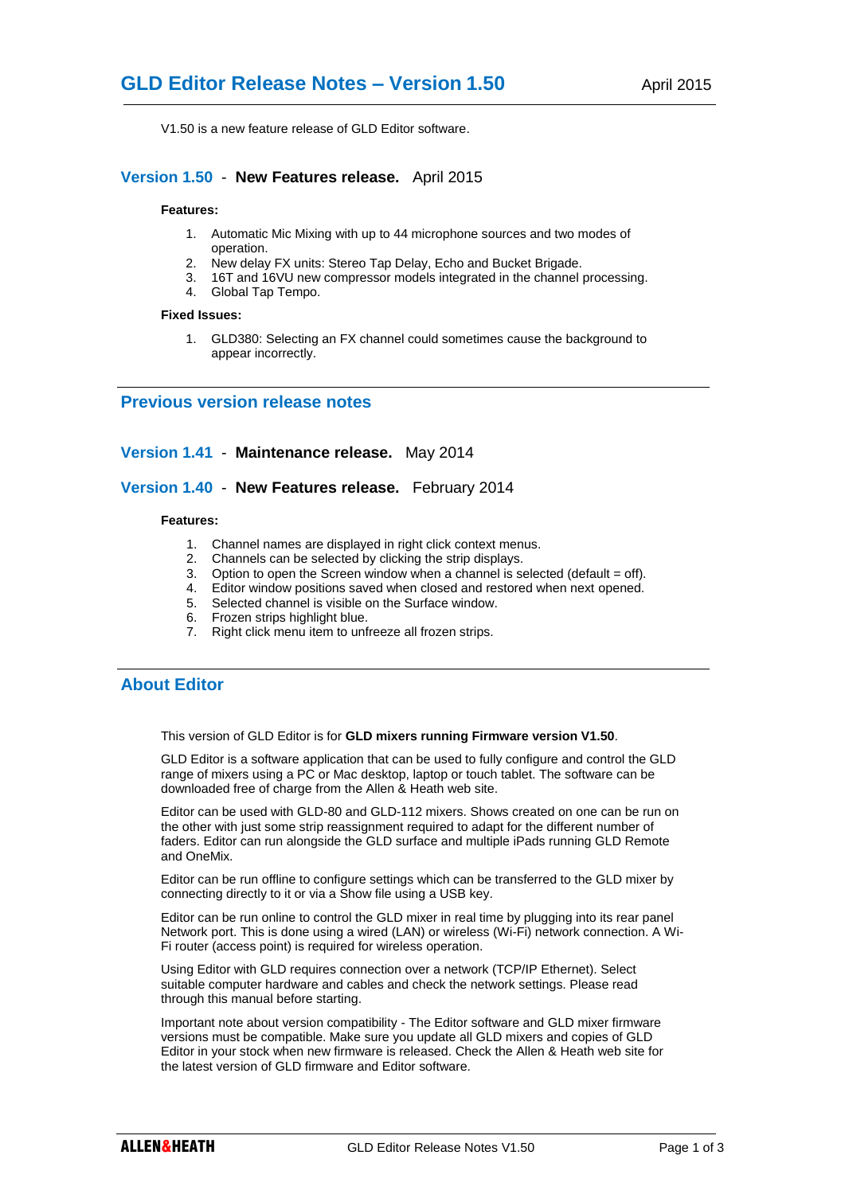V1.50 is a new feature release of GLD Editor software.

## **Version 1.50** - **New Features release.** April 2015

#### **Features:**

- 1. Automatic Mic Mixing with up to 44 microphone sources and two modes of operation.
- 2. New delay FX units: Stereo Tap Delay, Echo and Bucket Brigade.
- 3. 16T and 16VU new compressor models integrated in the channel processing.
- 4. Global Tap Tempo.

#### **Fixed Issues:**

1. GLD380: Selecting an FX channel could sometimes cause the background to appear incorrectly.

### **Previous version release notes**

#### **Version 1.41** - **Maintenance release.** May 2014

### **Version 1.40** - **New Features release.** February 2014

#### **Features:**

- 1. Channel names are displayed in right click context menus.
- 2. Channels can be selected by clicking the strip displays.
- 3. Option to open the Screen window when a channel is selected (default = off).
- 4. Editor window positions saved when closed and restored when next opened.
- 5. Selected channel is visible on the Surface window.
- 6. Frozen strips highlight blue.
- 7. Right click menu item to unfreeze all frozen strips.

# **About Editor**

This version of GLD Editor is for **GLD mixers running Firmware version V1.50**.

GLD Editor is a software application that can be used to fully configure and control the GLD range of mixers using a PC or Mac desktop, laptop or touch tablet. The software can be downloaded free of charge from the Allen & Heath web site.

Editor can be used with GLD-80 and GLD-112 mixers. Shows created on one can be run on the other with just some strip reassignment required to adapt for the different number of faders. Editor can run alongside the GLD surface and multiple iPads running GLD Remote and OneMix.

Editor can be run offline to configure settings which can be transferred to the GLD mixer by connecting directly to it or via a Show file using a USB key.

Editor can be run online to control the GLD mixer in real time by plugging into its rear panel Network port. This is done using a wired (LAN) or wireless (Wi-Fi) network connection. A Wi-Fi router (access point) is required for wireless operation.

Using Editor with GLD requires connection over a network (TCP/IP Ethernet). Select suitable computer hardware and cables and check the network settings. Please read through this manual before starting.

Important note about version compatibility - The Editor software and GLD mixer firmware versions must be compatible. Make sure you update all GLD mixers and copies of GLD Editor in your stock when new firmware is released. Check the Allen & Heath web site for the latest version of GLD firmware and Editor software.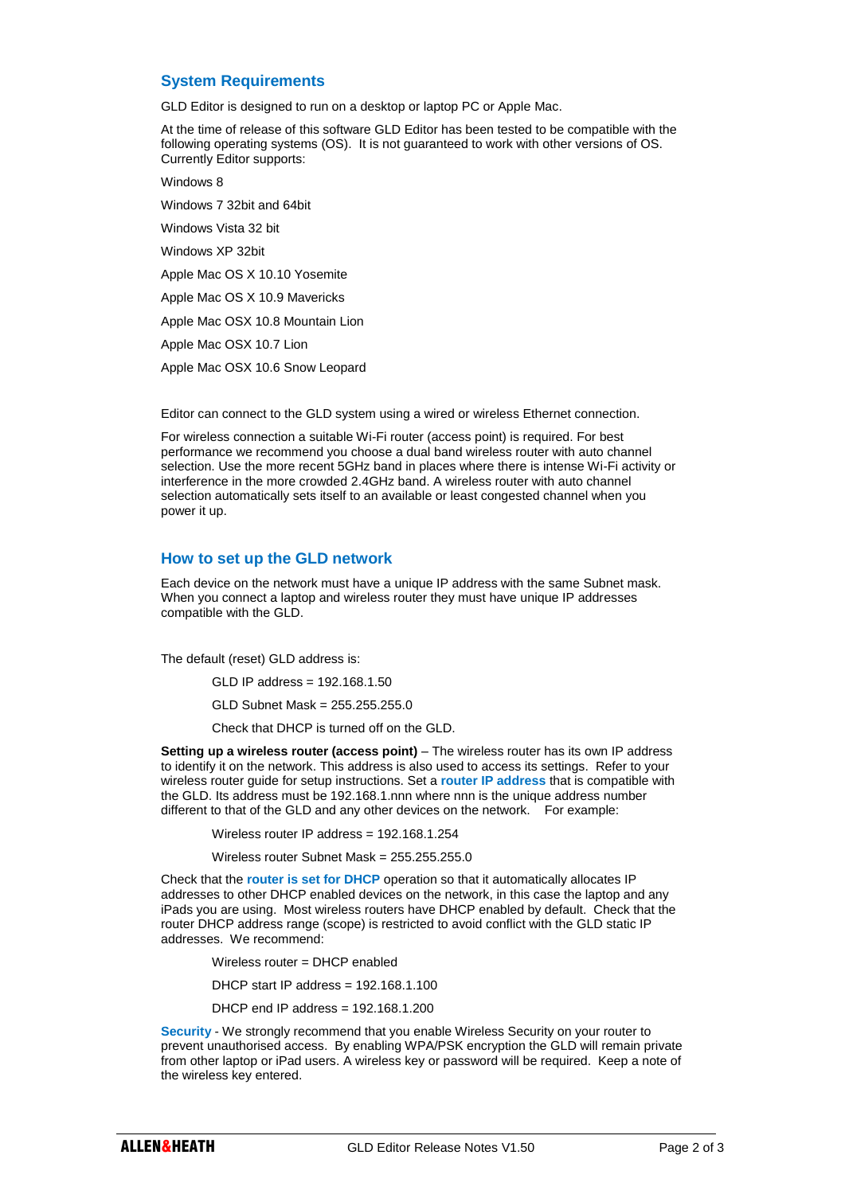## **System Requirements**

GLD Editor is designed to run on a desktop or laptop PC or Apple Mac.

At the time of release of this software GLD Editor has been tested to be compatible with the following operating systems (OS). It is not guaranteed to work with other versions of OS. Currently Editor supports:

Windows 8

Windows 7 32bit and 64bit Windows Vista 32 bit

Windows XP 32bit

Apple Mac OS X 10.10 Yosemite

Apple Mac OS X 10.9 Mavericks

Apple Mac OSX 10.8 Mountain Lion

Apple Mac OSX 10.7 Lion

Apple Mac OSX 10.6 Snow Leopard

Editor can connect to the GLD system using a wired or wireless Ethernet connection.

For wireless connection a suitable Wi-Fi router (access point) is required. For best performance we recommend you choose a dual band wireless router with auto channel selection. Use the more recent 5GHz band in places where there is intense Wi-Fi activity or interference in the more crowded 2.4GHz band. A wireless router with auto channel selection automatically sets itself to an available or least congested channel when you power it up.

# **How to set up the GLD network**

Each device on the network must have a unique IP address with the same Subnet mask. When you connect a laptop and wireless router they must have unique IP addresses compatible with the GLD.

The default (reset) GLD address is:

GLD IP address = 192.168.1.50

GLD Subnet Mask = 255.255.255.0

Check that DHCP is turned off on the GLD.

**Setting up a wireless router (access point)** – The wireless router has its own IP address to identify it on the network. This address is also used to access its settings. Refer to your wireless router guide for setup instructions. Set a **router IP address** that is compatible with the GLD. Its address must be 192.168.1.nnn where nnn is the unique address number different to that of the GLD and any other devices on the network. For example:

Wireless router IP address = 192.168.1.254

Wireless router Subnet Mask = 255.255.255.0

Check that the **router is set for DHCP** operation so that it automatically allocates IP addresses to other DHCP enabled devices on the network, in this case the laptop and any iPads you are using. Most wireless routers have DHCP enabled by default. Check that the router DHCP address range (scope) is restricted to avoid conflict with the GLD static IP addresses. We recommend:

Wireless router = DHCP enabled

DHCP start IP address = 192.168.1.100

DHCP end IP address = 192.168.1.200

**Security** - We strongly recommend that you enable Wireless Security on your router to prevent unauthorised access. By enabling WPA/PSK encryption the GLD will remain private from other laptop or iPad users. A wireless key or password will be required. Keep a note of the wireless key entered.